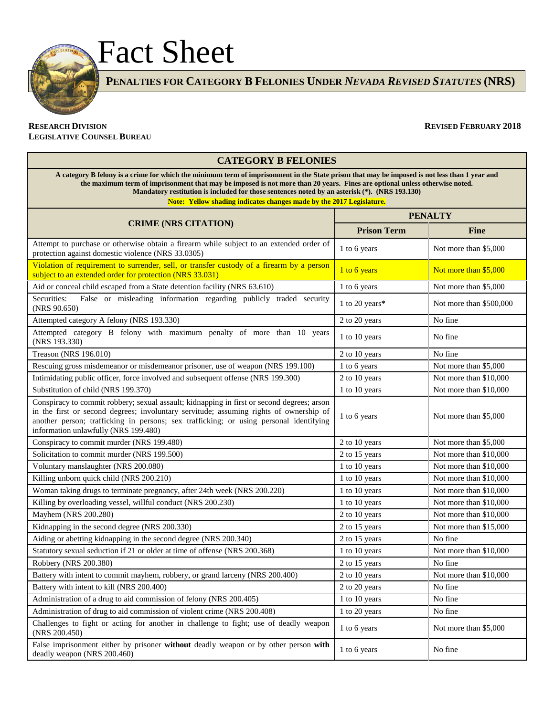

**PENALTIES FOR CATEGORY B FELONIES UNDER** *NEVADA REVISED STATUTES* **(NRS)**

## **RESEARCH DIVISION REVISED FEBRUARY 2018 LEGISLATIVE COUNSEL BUREAU**

# **CATEGORY B FELONIES**

**A category B felony is a crime for which the minimum term of imprisonment in the State prison that may be imposed is not less than 1 year and the maximum term of imprisonment that may be imposed is not more than 20 years. Fines are optional unless otherwise noted. Mandatory restitution is included for those sentences noted by an asterisk (\*). (NRS 193.130) Note: Yellow shading indicates changes made by the 2017 Legislature.** 

**CRIME (NRS CITATION) PENALTY Prison Term Fine** Attempt to purchase or otherwise obtain a firearm while subject to an extended order of Protection against domestic violence (NRS 33.0305) and steps are not all extended order of  $\frac{1}{1}$  to 6 years Not more than \$5,000 protection against domestic violence (NRS 33.0305) Violation of requirement to surrender, sell, or transfer custody of a firearm by a person violation of requirement to surfender, sen, or transfer custody or a meanin by a person  $\frac{1}{1}$  to 6 years Not more than \$5,000 Subject to an extended order for protection (NRS 33.031) Aid or conceal child escaped from a State detention facility (NRS 63.610) 1 to 6 years Not more than \$5,000

| And or conceal child escaped from a State detention facility (NRS 63.610)                                                                                                                                                                                                                                              | 1 to 6 years   | Not more than \$5,000   |
|------------------------------------------------------------------------------------------------------------------------------------------------------------------------------------------------------------------------------------------------------------------------------------------------------------------------|----------------|-------------------------|
| Securities:<br>False or misleading information regarding publicly traded security<br>(NRS 90.650)                                                                                                                                                                                                                      | 1 to 20 years* | Not more than \$500,000 |
| Attempted category A felony (NRS 193.330)                                                                                                                                                                                                                                                                              | 2 to 20 years  | No fine                 |
| Attempted category B felony with maximum penalty of more than 10 years<br>(NRS 193.330)                                                                                                                                                                                                                                | 1 to 10 years  | No fine                 |
| Treason (NRS 196.010)                                                                                                                                                                                                                                                                                                  | 2 to 10 years  | No fine                 |
| Rescuing gross misdemeanor or misdemeanor prisoner, use of weapon (NRS 199.100)                                                                                                                                                                                                                                        | 1 to 6 years   | Not more than \$5,000   |
| Intimidating public officer, force involved and subsequent offense (NRS 199.300)                                                                                                                                                                                                                                       | 2 to 10 years  | Not more than \$10,000  |
| Substitution of child (NRS 199.370)                                                                                                                                                                                                                                                                                    | 1 to 10 years  | Not more than \$10,000  |
| Conspiracy to commit robbery; sexual assault; kidnapping in first or second degrees; arson<br>in the first or second degrees; involuntary servitude; assuming rights of ownership of<br>another person; trafficking in persons; sex trafficking; or using personal identifying<br>information unlawfully (NRS 199.480) | 1 to 6 years   | Not more than \$5,000   |
| Conspiracy to commit murder (NRS 199.480)                                                                                                                                                                                                                                                                              | 2 to 10 years  | Not more than \$5,000   |
| Solicitation to commit murder (NRS 199.500)                                                                                                                                                                                                                                                                            | 2 to 15 years  | Not more than \$10,000  |
| Voluntary manslaughter (NRS 200.080)                                                                                                                                                                                                                                                                                   | 1 to 10 years  | Not more than \$10,000  |
| Killing unborn quick child (NRS 200.210)                                                                                                                                                                                                                                                                               | 1 to 10 years  | Not more than \$10,000  |
| Woman taking drugs to terminate pregnancy, after 24th week (NRS 200.220)                                                                                                                                                                                                                                               | 1 to 10 years  | Not more than \$10,000  |
| Killing by overloading vessel, willful conduct (NRS 200.230)                                                                                                                                                                                                                                                           | 1 to 10 years  | Not more than \$10,000  |
| Mayhem (NRS 200.280)                                                                                                                                                                                                                                                                                                   | 2 to 10 years  | Not more than \$10,000  |
| Kidnapping in the second degree (NRS 200.330)                                                                                                                                                                                                                                                                          | 2 to 15 years  | Not more than \$15,000  |
| Aiding or abetting kidnapping in the second degree (NRS 200.340)                                                                                                                                                                                                                                                       | 2 to 15 years  | No fine                 |
| Statutory sexual seduction if 21 or older at time of offense (NRS 200.368)                                                                                                                                                                                                                                             | 1 to 10 years  | Not more than \$10,000  |
| Robbery (NRS 200.380)                                                                                                                                                                                                                                                                                                  | 2 to 15 years  | No fine                 |
| Battery with intent to commit mayhem, robbery, or grand larceny (NRS 200.400)                                                                                                                                                                                                                                          | 2 to 10 years  | Not more than \$10,000  |
| Battery with intent to kill (NRS 200.400)                                                                                                                                                                                                                                                                              | 2 to 20 years  | No fine                 |
| Administration of a drug to aid commission of felony (NRS 200.405)                                                                                                                                                                                                                                                     | 1 to 10 years  | No fine                 |
| Administration of drug to aid commission of violent crime (NRS 200.408)                                                                                                                                                                                                                                                | 1 to 20 years  | No fine                 |
| Challenges to fight or acting for another in challenge to fight; use of deadly weapon<br>(NRS 200.450)                                                                                                                                                                                                                 | 1 to 6 years   | Not more than \$5,000   |
| False imprisonment either by prisoner without deadly weapon or by other person with<br>deadly weapon (NRS 200.460)                                                                                                                                                                                                     | 1 to 6 years   | No fine                 |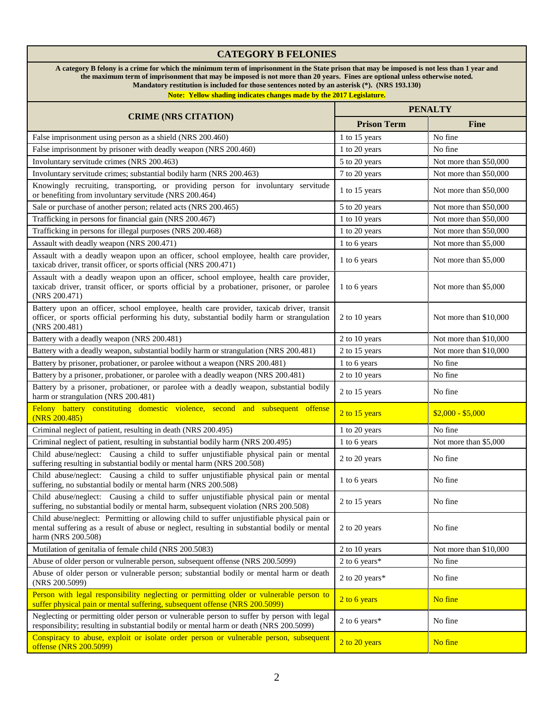| <b>CATEGORY B FELONIES</b>                                                                                                                                                                                                                                                                                                                                                                                                                           |                    |                        |
|------------------------------------------------------------------------------------------------------------------------------------------------------------------------------------------------------------------------------------------------------------------------------------------------------------------------------------------------------------------------------------------------------------------------------------------------------|--------------------|------------------------|
| A category B felony is a crime for which the minimum term of imprisonment in the State prison that may be imposed is not less than 1 year and<br>the maximum term of imprisonment that may be imposed is not more than 20 years. Fines are optional unless otherwise noted.<br>Mandatory restitution is included for those sentences noted by an asterisk (*). (NRS 193.130)<br>Note: Yellow shading indicates changes made by the 2017 Legislature. |                    |                        |
|                                                                                                                                                                                                                                                                                                                                                                                                                                                      | <b>PENALTY</b>     |                        |
| <b>CRIME (NRS CITATION)</b>                                                                                                                                                                                                                                                                                                                                                                                                                          | <b>Prison Term</b> | <b>Fine</b>            |
| False imprisonment using person as a shield (NRS 200.460)                                                                                                                                                                                                                                                                                                                                                                                            | 1 to 15 years      | No fine                |
| False imprisonment by prisoner with deadly weapon (NRS 200.460)                                                                                                                                                                                                                                                                                                                                                                                      | 1 to 20 years      | No fine                |
| Involuntary servitude crimes (NRS 200.463)                                                                                                                                                                                                                                                                                                                                                                                                           | 5 to 20 years      | Not more than \$50,000 |
| Involuntary servitude crimes; substantial bodily harm (NRS 200.463)                                                                                                                                                                                                                                                                                                                                                                                  | 7 to 20 years      | Not more than \$50,000 |
| Knowingly recruiting, transporting, or providing person for involuntary servitude<br>or benefiting from involuntary servitude (NRS 200.464)                                                                                                                                                                                                                                                                                                          | 1 to 15 years      | Not more than \$50,000 |
| Sale or purchase of another person; related acts (NRS 200.465)                                                                                                                                                                                                                                                                                                                                                                                       | 5 to 20 years      | Not more than \$50,000 |
| Trafficking in persons for financial gain (NRS 200.467)                                                                                                                                                                                                                                                                                                                                                                                              | 1 to 10 years      | Not more than \$50,000 |
| Trafficking in persons for illegal purposes (NRS 200.468)                                                                                                                                                                                                                                                                                                                                                                                            | 1 to 20 years      | Not more than \$50,000 |
| Assault with deadly weapon (NRS 200.471)                                                                                                                                                                                                                                                                                                                                                                                                             | 1 to 6 years       | Not more than \$5,000  |
| Assault with a deadly weapon upon an officer, school employee, health care provider,<br>taxicab driver, transit officer, or sports official (NRS 200.471)                                                                                                                                                                                                                                                                                            | 1 to 6 years       | Not more than \$5,000  |
| Assault with a deadly weapon upon an officer, school employee, health care provider,<br>taxicab driver, transit officer, or sports official by a probationer, prisoner, or parolee<br>(NRS 200.471)                                                                                                                                                                                                                                                  | 1 to 6 years       | Not more than \$5,000  |
| Battery upon an officer, school employee, health care provider, taxicab driver, transit<br>officer, or sports official performing his duty, substantial bodily harm or strangulation<br>(NRS 200.481)                                                                                                                                                                                                                                                | 2 to 10 years      | Not more than \$10,000 |
| Battery with a deadly weapon (NRS 200.481)                                                                                                                                                                                                                                                                                                                                                                                                           | 2 to 10 years      | Not more than \$10,000 |
| Battery with a deadly weapon, substantial bodily harm or strangulation (NRS 200.481)                                                                                                                                                                                                                                                                                                                                                                 | 2 to 15 years      | Not more than \$10,000 |
| Battery by prisoner, probationer, or parolee without a weapon (NRS 200.481)                                                                                                                                                                                                                                                                                                                                                                          | 1 to 6 years       | No fine                |
| Battery by a prisoner, probationer, or parolee with a deadly weapon (NRS 200.481)                                                                                                                                                                                                                                                                                                                                                                    | 2 to 10 years      | No fine                |
| Battery by a prisoner, probationer, or parolee with a deadly weapon, substantial bodily<br>harm or strangulation (NRS 200.481)                                                                                                                                                                                                                                                                                                                       | 2 to 15 years      | No fine                |
| Felony battery constituting domestic violence, second and subsequent offense<br>(NRS 200.485)                                                                                                                                                                                                                                                                                                                                                        | 2 to 15 years      | $$2,000 - $5,000$      |
| Criminal neglect of patient, resulting in death (NRS 200.495)                                                                                                                                                                                                                                                                                                                                                                                        | 1 to 20 years      | No fine                |
| Criminal neglect of patient, resulting in substantial bodily harm (NRS 200.495)                                                                                                                                                                                                                                                                                                                                                                      | 1 to 6 years       | Not more than \$5,000  |
| Child abuse/neglect: Causing a child to suffer unjustifiable physical pain or mental<br>suffering resulting in substantial bodily or mental harm (NRS 200.508)                                                                                                                                                                                                                                                                                       | 2 to 20 years      | No fine                |
| Child abuse/neglect: Causing a child to suffer unjustifiable physical pain or mental<br>suffering, no substantial bodily or mental harm (NRS 200.508)                                                                                                                                                                                                                                                                                                | 1 to 6 years       | No fine                |
| Child abuse/neglect: Causing a child to suffer unjustifiable physical pain or mental<br>suffering, no substantial bodily or mental harm, subsequent violation (NRS 200.508)                                                                                                                                                                                                                                                                          | 2 to 15 years      | No fine                |
| Child abuse/neglect: Permitting or allowing child to suffer unjustifiable physical pain or<br>mental suffering as a result of abuse or neglect, resulting in substantial bodily or mental<br>harm (NRS 200.508)                                                                                                                                                                                                                                      | 2 to 20 years      | No fine                |
| Mutilation of genitalia of female child (NRS 200.5083)                                                                                                                                                                                                                                                                                                                                                                                               | 2 to 10 years      | Not more than \$10,000 |
| Abuse of older person or vulnerable person, subsequent offense (NRS 200.5099)                                                                                                                                                                                                                                                                                                                                                                        | 2 to 6 years*      | No fine                |
| Abuse of older person or vulnerable person; substantial bodily or mental harm or death<br>(NRS 200.5099)                                                                                                                                                                                                                                                                                                                                             | 2 to 20 years*     | No fine                |
| Person with legal responsibility neglecting or permitting older or vulnerable person to<br>suffer physical pain or mental suffering, subsequent offense (NRS 200.5099)                                                                                                                                                                                                                                                                               | 2 to 6 years       | No fine                |
| Neglecting or permitting older person or vulnerable person to suffer by person with legal<br>responsibility; resulting in substantial bodily or mental harm or death (NRS 200.5099)                                                                                                                                                                                                                                                                  | 2 to 6 years*      | No fine                |
| Conspiracy to abuse, exploit or isolate order person or vulnerable person, subsequent<br>offense (NRS 200.5099)                                                                                                                                                                                                                                                                                                                                      | 2 to 20 years      | No fine                |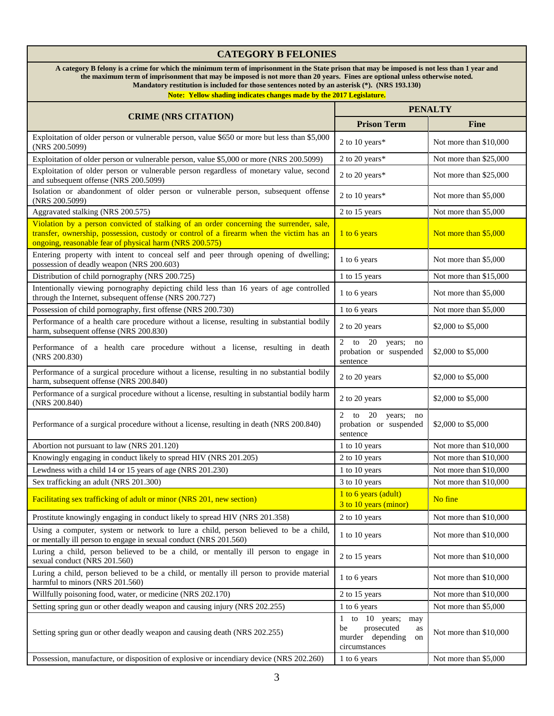# **CATEGORY B FELONIES**

**A category B felony is a crime for which the minimum term of imprisonment in the State prison that may be imposed is not less than 1 year and the maximum term of imprisonment that may be imposed is not more than 20 years. Fines are optional unless otherwise noted. Mandatory restitution is included for those sentences noted by an asterisk (\*). (NRS 193.130)**

| <b>CRIME (NRS CITATION)</b>                                                                                                                                                                                                                   | <b>PENALTY</b>                                                                               |                        |
|-----------------------------------------------------------------------------------------------------------------------------------------------------------------------------------------------------------------------------------------------|----------------------------------------------------------------------------------------------|------------------------|
|                                                                                                                                                                                                                                               | <b>Prison Term</b>                                                                           | <b>Fine</b>            |
| Exploitation of older person or vulnerable person, value \$650 or more but less than \$5,000<br>(NRS 200.5099)                                                                                                                                | 2 to 10 years*                                                                               | Not more than \$10,000 |
| Exploitation of older person or vulnerable person, value \$5,000 or more (NRS 200.5099)                                                                                                                                                       | 2 to 20 years*                                                                               | Not more than \$25,000 |
| Exploitation of older person or vulnerable person regardless of monetary value, second<br>and subsequent offense (NRS 200.5099)                                                                                                               | 2 to 20 years*                                                                               | Not more than \$25,000 |
| Isolation or abandonment of older person or vulnerable person, subsequent offense<br>(NRS 200.5099)                                                                                                                                           | 2 to 10 years*                                                                               | Not more than \$5,000  |
| Aggravated stalking (NRS 200.575)                                                                                                                                                                                                             | 2 to 15 years                                                                                | Not more than \$5,000  |
| Violation by a person convicted of stalking of an order concerning the surrender, sale,<br>transfer, ownership, possession, custody or control of a firearm when the victim has an<br>ongoing, reasonable fear of physical harm (NRS 200.575) | 1 to 6 years                                                                                 | Not more than \$5,000  |
| Entering property with intent to conceal self and peer through opening of dwelling;<br>possession of deadly weapon (NRS 200.603)                                                                                                              | 1 to 6 years                                                                                 | Not more than \$5,000  |
| Distribution of child pornography (NRS 200.725)                                                                                                                                                                                               | 1 to 15 years                                                                                | Not more than \$15,000 |
| Intentionally viewing pornography depicting child less than 16 years of age controlled<br>through the Internet, subsequent offense (NRS 200.727)                                                                                              | 1 to 6 years                                                                                 | Not more than \$5,000  |
| Possession of child pornography, first offense (NRS 200.730)                                                                                                                                                                                  | 1 to 6 years                                                                                 | Not more than \$5,000  |
| Performance of a health care procedure without a license, resulting in substantial bodily<br>harm, subsequent offense (NRS 200.830)                                                                                                           | 2 to 20 years                                                                                | \$2,000 to \$5,000     |
| Performance of a health care procedure without a license, resulting in death<br>(NRS 200.830)                                                                                                                                                 | 2 to 20<br>years;<br>no<br>probation or suspended<br>sentence                                | \$2,000 to \$5,000     |
| Performance of a surgical procedure without a license, resulting in no substantial bodily<br>harm, subsequent offense (NRS 200.840)                                                                                                           | 2 to 20 years                                                                                | \$2,000 to \$5,000     |
| Performance of a surgical procedure without a license, resulting in substantial bodily harm<br>(NRS 200.840)                                                                                                                                  | 2 to 20 years                                                                                | \$2,000 to \$5,000     |
| Performance of a surgical procedure without a license, resulting in death (NRS 200.840)                                                                                                                                                       | 2 to 20<br>years; no<br>probation or suspended<br>sentence                                   | \$2,000 to \$5,000     |
| Abortion not pursuant to law (NRS 201.120)                                                                                                                                                                                                    | 1 to 10 years                                                                                | Not more than \$10,000 |
| Knowingly engaging in conduct likely to spread HIV (NRS 201.205)                                                                                                                                                                              | 2 to 10 years                                                                                | Not more than \$10,000 |
| Lewdness with a child 14 or 15 years of age (NRS 201.230)                                                                                                                                                                                     | 1 to 10 years                                                                                | Not more than \$10,000 |
| Sex trafficking an adult (NRS 201.300)                                                                                                                                                                                                        | 3 to 10 years                                                                                | Not more than \$10,000 |
| Facilitating sex trafficking of adult or minor (NRS 201, new section)                                                                                                                                                                         | 1 to 6 years (adult)<br>3 to 10 years (minor)                                                | No fine                |
| Prostitute knowingly engaging in conduct likely to spread HIV (NRS 201.358)                                                                                                                                                                   | 2 to 10 years                                                                                | Not more than \$10,000 |
| Using a computer, system or network to lure a child, person believed to be a child,<br>or mentally ill person to engage in sexual conduct (NRS 201.560)                                                                                       | 1 to 10 years                                                                                | Not more than \$10,000 |
| Luring a child, person believed to be a child, or mentally ill person to engage in<br>sexual conduct (NRS 201.560)                                                                                                                            | 2 to 15 years                                                                                | Not more than \$10,000 |
| Luring a child, person believed to be a child, or mentally ill person to provide material<br>harmful to minors (NRS 201.560)                                                                                                                  | 1 to 6 years                                                                                 | Not more than \$10,000 |
| Willfully poisoning food, water, or medicine (NRS 202.170)                                                                                                                                                                                    | 2 to 15 years                                                                                | Not more than \$10,000 |
| Setting spring gun or other deadly weapon and causing injury (NRS 202.255)                                                                                                                                                                    | 1 to 6 years                                                                                 | Not more than \$5,000  |
| Setting spring gun or other deadly weapon and causing death (NRS 202.255)                                                                                                                                                                     | 1 to $10$ years;<br>may<br>prosecuted<br>be<br>as<br>murder depending<br>on<br>circumstances | Not more than \$10,000 |
| Possession, manufacture, or disposition of explosive or incendiary device (NRS 202.260)                                                                                                                                                       | 1 to 6 years                                                                                 | Not more than \$5,000  |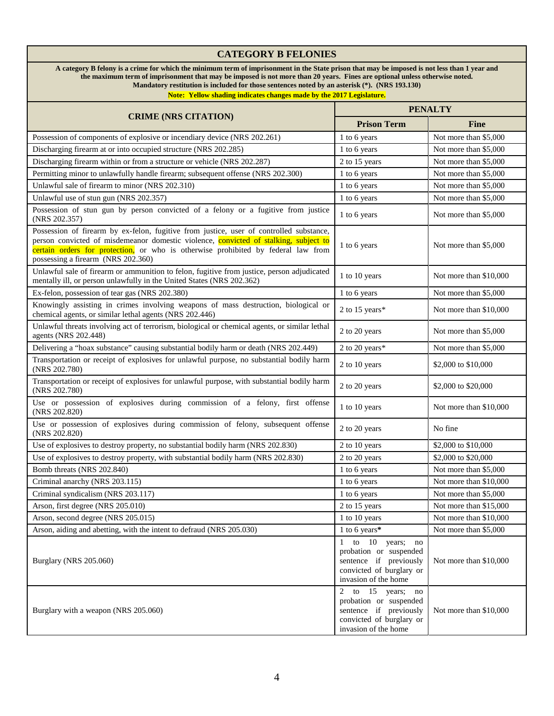## **CATEGORY B FELONIES A category B felony is a crime for which the minimum term of imprisonment in the State prison that may be imposed is not less than 1 year and the maximum term of imprisonment that may be imposed is not more than 20 years. Fines are optional unless otherwise noted. Mandatory restitution is included for those sentences noted by an asterisk (\*). (NRS 193.130)**

| <b>CRIME (NRS CITATION)</b>                                                                                                                                                                                                                                                                                | <b>PENALTY</b>                                                                                                                 |                         |
|------------------------------------------------------------------------------------------------------------------------------------------------------------------------------------------------------------------------------------------------------------------------------------------------------------|--------------------------------------------------------------------------------------------------------------------------------|-------------------------|
|                                                                                                                                                                                                                                                                                                            | <b>Prison Term</b>                                                                                                             | <b>Fine</b>             |
| Possession of components of explosive or incendiary device (NRS 202.261)                                                                                                                                                                                                                                   | 1 to 6 years                                                                                                                   | Not more than \$5,000   |
| Discharging firearm at or into occupied structure (NRS 202.285)                                                                                                                                                                                                                                            | 1 to 6 years                                                                                                                   | Not more than \$5,000   |
| Discharging firearm within or from a structure or vehicle (NRS 202.287)                                                                                                                                                                                                                                    | 2 to 15 years                                                                                                                  | Not more than \$5,000   |
| Permitting minor to unlawfully handle firearm; subsequent offense (NRS 202.300)                                                                                                                                                                                                                            | 1 to 6 years                                                                                                                   | Not more than \$5,000   |
| Unlawful sale of firearm to minor (NRS 202.310)                                                                                                                                                                                                                                                            | 1 to 6 years                                                                                                                   | Not more than \$5,000   |
| Unlawful use of stun gun (NRS 202.357)                                                                                                                                                                                                                                                                     | 1 to 6 years                                                                                                                   | Not more than \$5,000   |
| Possession of stun gun by person convicted of a felony or a fugitive from justice<br>(NRS 202.357)                                                                                                                                                                                                         | 1 to 6 years                                                                                                                   | Not more than \$5,000   |
| Possession of firearm by ex-felon, fugitive from justice, user of controlled substance,<br>person convicted of misdemeanor domestic violence, convicted of stalking, subject to<br>certain orders for protection, or who is otherwise prohibited by federal law from<br>possessing a firearm (NRS 202.360) | 1 to 6 years                                                                                                                   | Not more than \$5,000   |
| Unlawful sale of firearm or ammunition to felon, fugitive from justice, person adjudicated<br>mentally ill, or person unlawfully in the United States (NRS 202.362)                                                                                                                                        | 1 to 10 years                                                                                                                  | Not more than \$10,000  |
| Ex-felon, possession of tear gas (NRS 202.380)                                                                                                                                                                                                                                                             | 1 to 6 years                                                                                                                   | Not more than \$5,000   |
| Knowingly assisting in crimes involving weapons of mass destruction, biological or<br>chemical agents, or similar lethal agents (NRS 202.446)                                                                                                                                                              | 2 to 15 years*                                                                                                                 | Not more than \$10,000  |
| Unlawful threats involving act of terrorism, biological or chemical agents, or similar lethal<br>agents (NRS 202.448)                                                                                                                                                                                      | 2 to 20 years                                                                                                                  | Not more than \$5,000   |
| Delivering a "hoax substance" causing substantial bodily harm or death (NRS 202.449)                                                                                                                                                                                                                       | 2 to 20 years*                                                                                                                 | Not more than \$5,000   |
| Transportation or receipt of explosives for unlawful purpose, no substantial bodily harm<br>(NRS 202.780)                                                                                                                                                                                                  | 2 to 10 years                                                                                                                  | \$2,000 to \$10,000     |
| Transportation or receipt of explosives for unlawful purpose, with substantial bodily harm<br>(NRS 202.780)                                                                                                                                                                                                | 2 to 20 years                                                                                                                  | \$2,000 to \$20,000     |
| Use or possession of explosives during commission of a felony, first offense<br>(NRS 202.820)                                                                                                                                                                                                              | 1 to 10 years                                                                                                                  | Not more than \$10,000  |
| Use or possession of explosives during commission of felony, subsequent offense<br>(NRS 202.820)                                                                                                                                                                                                           | 2 to 20 years                                                                                                                  | No fine                 |
| Use of explosives to destroy property, no substantial bodily harm (NRS 202.830)                                                                                                                                                                                                                            | 2 to 10 years                                                                                                                  | \$2,000 to \$10,000     |
| Use of explosives to destroy property, with substantial bodily harm (NRS 202.830)                                                                                                                                                                                                                          | 2 to 20 years                                                                                                                  | \$2,000 to \$20,000     |
| Bomb threats (NRS 202.840)                                                                                                                                                                                                                                                                                 | 1 to 6 years                                                                                                                   | Not more than \$5,000   |
| Criminal anarchy (NRS 203.115)                                                                                                                                                                                                                                                                             | 1 to 6 years                                                                                                                   | Not more than \$10,000  |
| Criminal syndicalism (NRS 203.117)                                                                                                                                                                                                                                                                         | 1 to 6 years                                                                                                                   | Not more than \$5,000   |
| Arson, first degree (NRS 205.010)                                                                                                                                                                                                                                                                          | 2 to 15 years                                                                                                                  | Not more than $$15,000$ |
| Arson, second degree (NRS 205.015)                                                                                                                                                                                                                                                                         | 1 to 10 years                                                                                                                  | Not more than \$10,000  |
| Arson, aiding and abetting, with the intent to defraud (NRS 205.030)                                                                                                                                                                                                                                       | 1 to 6 years*                                                                                                                  | Not more than \$5,000   |
| Burglary (NRS 205.060)                                                                                                                                                                                                                                                                                     | 1 to 10 years; no<br>probation or suspended<br>sentence if previously<br>convicted of burglary or<br>invasion of the home      | Not more than \$10,000  |
| Burglary with a weapon (NRS 205.060)                                                                                                                                                                                                                                                                       | 2 to $15$ years;<br>no<br>probation or suspended<br>sentence if previously<br>convicted of burglary or<br>invasion of the home | Not more than \$10,000  |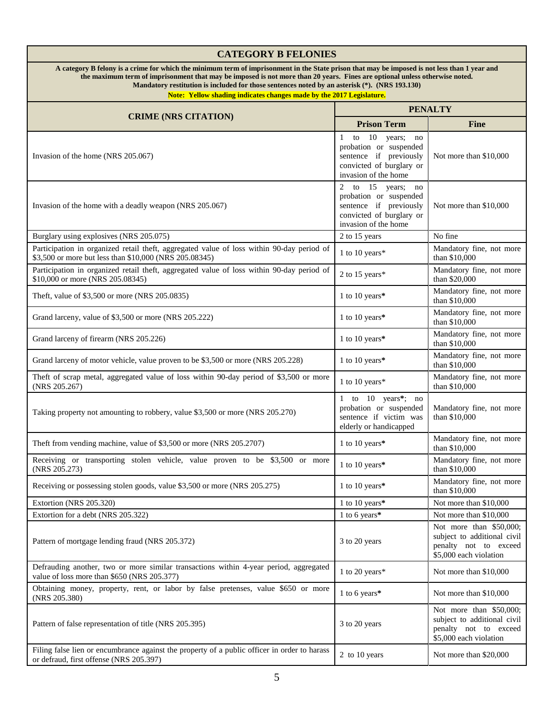| <b>CATEGORY B FELONIES</b>                                                                                                                                                                                                                                                                                                                                                                                                                           |                                                                                                                                |                                                                                                           |
|------------------------------------------------------------------------------------------------------------------------------------------------------------------------------------------------------------------------------------------------------------------------------------------------------------------------------------------------------------------------------------------------------------------------------------------------------|--------------------------------------------------------------------------------------------------------------------------------|-----------------------------------------------------------------------------------------------------------|
| A category B felony is a crime for which the minimum term of imprisonment in the State prison that may be imposed is not less than 1 year and<br>the maximum term of imprisonment that may be imposed is not more than 20 years. Fines are optional unless otherwise noted.<br>Mandatory restitution is included for those sentences noted by an asterisk (*). (NRS 193.130)<br>Note: Yellow shading indicates changes made by the 2017 Legislature. |                                                                                                                                |                                                                                                           |
|                                                                                                                                                                                                                                                                                                                                                                                                                                                      | <b>PENALTY</b>                                                                                                                 |                                                                                                           |
| <b>CRIME (NRS CITATION)</b>                                                                                                                                                                                                                                                                                                                                                                                                                          | <b>Prison Term</b>                                                                                                             | <b>Fine</b>                                                                                               |
| Invasion of the home (NRS 205.067)                                                                                                                                                                                                                                                                                                                                                                                                                   | 1 to 10 years;<br>no<br>probation or suspended<br>sentence if previously<br>convicted of burglary or<br>invasion of the home   | Not more than \$10,000                                                                                    |
| Invasion of the home with a deadly weapon (NRS 205.067)                                                                                                                                                                                                                                                                                                                                                                                              | 2 to $15$ years;<br>no<br>probation or suspended<br>sentence if previously<br>convicted of burglary or<br>invasion of the home | Not more than \$10,000                                                                                    |
| Burglary using explosives (NRS 205.075)                                                                                                                                                                                                                                                                                                                                                                                                              | 2 to 15 years                                                                                                                  | No fine                                                                                                   |
| Participation in organized retail theft, aggregated value of loss within 90-day period of<br>\$3,500 or more but less than \$10,000 (NRS 205.08345)                                                                                                                                                                                                                                                                                                  | 1 to 10 years*                                                                                                                 | Mandatory fine, not more<br>than \$10,000                                                                 |
| Participation in organized retail theft, aggregated value of loss within 90-day period of<br>\$10,000 or more (NRS 205.08345)                                                                                                                                                                                                                                                                                                                        | 2 to 15 years*                                                                                                                 | Mandatory fine, not more<br>than \$20,000                                                                 |
| Theft, value of \$3,500 or more (NRS 205.0835)                                                                                                                                                                                                                                                                                                                                                                                                       | 1 to 10 years*                                                                                                                 | Mandatory fine, not more<br>than \$10,000                                                                 |
| Grand larceny, value of \$3,500 or more (NRS 205.222)                                                                                                                                                                                                                                                                                                                                                                                                | 1 to 10 years*                                                                                                                 | Mandatory fine, not more<br>than \$10,000                                                                 |
| Grand larceny of firearm (NRS 205.226)                                                                                                                                                                                                                                                                                                                                                                                                               | 1 to 10 years*                                                                                                                 | Mandatory fine, not more<br>than \$10,000                                                                 |
| Grand larceny of motor vehicle, value proven to be \$3,500 or more (NRS 205.228)                                                                                                                                                                                                                                                                                                                                                                     | 1 to 10 years*                                                                                                                 | Mandatory fine, not more<br>than \$10,000                                                                 |
| Theft of scrap metal, aggregated value of loss within 90-day period of \$3,500 or more<br>(NRS 205.267)                                                                                                                                                                                                                                                                                                                                              | 1 to 10 years*                                                                                                                 | Mandatory fine, not more<br>than \$10,000                                                                 |
| Taking property not amounting to robbery, value \$3,500 or more (NRS 205.270)                                                                                                                                                                                                                                                                                                                                                                        | 1 to 10 years*; no<br>probation or suspended<br>sentence if victim was<br>elderly or handicapped                               | Mandatory fine, not more<br>than \$10,000                                                                 |
| Theft from vending machine, value of \$3,500 or more (NRS 205.2707)                                                                                                                                                                                                                                                                                                                                                                                  | 1 to 10 years*                                                                                                                 | Mandatory fine, not more<br>than \$10,000                                                                 |
| Receiving or transporting stolen vehicle, value proven to be \$3,500 or more<br>(NRS 205.273)                                                                                                                                                                                                                                                                                                                                                        | 1 to 10 years*                                                                                                                 | Mandatory fine, not more<br>than \$10,000                                                                 |
| Receiving or possessing stolen goods, value \$3,500 or more (NRS 205.275)                                                                                                                                                                                                                                                                                                                                                                            | 1 to 10 years*                                                                                                                 | Mandatory fine, not more<br>than \$10,000                                                                 |
| Extortion (NRS 205.320)                                                                                                                                                                                                                                                                                                                                                                                                                              | 1 to 10 years*                                                                                                                 | Not more than \$10,000                                                                                    |
| Extortion for a debt (NRS 205.322)                                                                                                                                                                                                                                                                                                                                                                                                                   | 1 to 6 years*                                                                                                                  | Not more than \$10,000                                                                                    |
| Pattern of mortgage lending fraud (NRS 205.372)                                                                                                                                                                                                                                                                                                                                                                                                      | 3 to 20 years                                                                                                                  | Not more than \$50,000;<br>subject to additional civil<br>penalty not to exceed<br>\$5,000 each violation |
| Defrauding another, two or more similar transactions within 4-year period, aggregated<br>value of loss more than \$650 (NRS 205.377)                                                                                                                                                                                                                                                                                                                 | 1 to 20 years*                                                                                                                 | Not more than \$10,000                                                                                    |
| Obtaining money, property, rent, or labor by false pretenses, value \$650 or more<br>(NRS 205.380)                                                                                                                                                                                                                                                                                                                                                   | 1 to 6 years*                                                                                                                  | Not more than \$10,000                                                                                    |
| Pattern of false representation of title (NRS 205.395)                                                                                                                                                                                                                                                                                                                                                                                               | 3 to 20 years                                                                                                                  | Not more than \$50,000;<br>subject to additional civil<br>penalty not to exceed<br>\$5,000 each violation |
| Filing false lien or encumbrance against the property of a public officer in order to harass<br>or defraud, first offense (NRS 205.397)                                                                                                                                                                                                                                                                                                              | 2 to 10 years                                                                                                                  | Not more than \$20,000                                                                                    |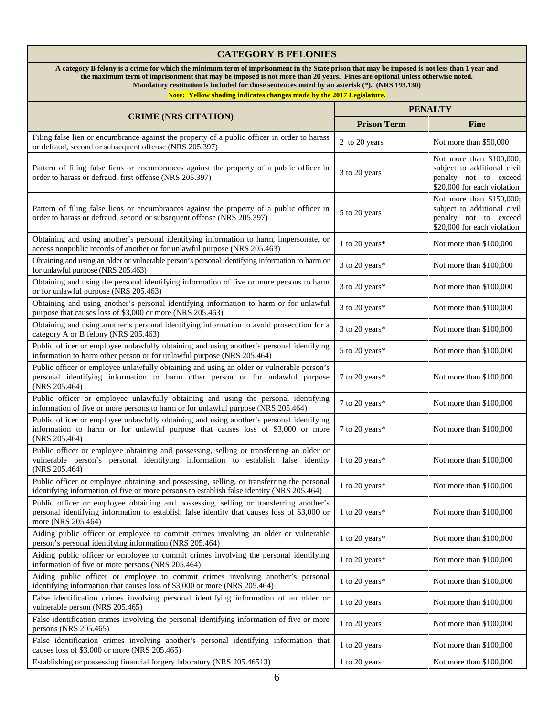#### **CATEGORY B FELONIES A category B felony is a crime for which the minimum term of imprisonment in the State prison that may be imposed is not less than 1 year and the maximum term of imprisonment that may be imposed is not more than 20 years. Fines are optional unless otherwise noted. Mandatory restitution is included for those sentences noted by an asterisk (\*). (NRS 193.130) Note: Yellow shading indicates changes made by the 2017 Legislature. CRIME (NRS CITATION) PENALTY Prison Term Fine** Filing false lien or encumbrance against the property of a public officer in order to harass or defraud, second or subsequent offense (NRS 205.397) The Second or subsequent offense (NRS 205.397) Pattern of filing false liens or encumbrances against the property of a public officer in ration of fining raise fields of encumbrances against the property of a public officer in 3 to 20 years order to harass or defraud, first offense (NRS 205.397) Not more than \$100,000; subject to additional civil penalty not to exceed \$20,000 for each violation Pattern of filing false liens or encumbrances against the property of a public officer in Fattern or fining raise fields or encumbrances against the property or a public officer in 5 to 20 years order to harass or defraud, second or subsequent offense (NRS 205.397) Not more than \$150,000; subject to additional civil penalty not to exceed \$20,000 for each violation Obtaining and using another's personal identifying information to harm, impersonate, or botaning and using another s personal dentitying information to harm, impersonate, or 1 to 20 years<sup>\*</sup> Not more than \$100,000 access nonpublic records of another or for unlawful purpose (NRS 205.463) Obtaining and using an older or vulnerable person's personal identifying information to harm or  $\frac{1}{2}$  for unlawful purpose (NRS 205.463)  $\frac{1}{2}$  for unlawful purpose (NRS 205.463) Obtaining and using the personal identifying information of five or more persons to harm or for unlawful purpose (NRS 205.463)<br>or for unlawful purpose (NRS 205.463) Obtaining and using another's personal identifying information to harm or for unlawful botaining and using another s personal identifying information to harm or for unlawful  $\left[3 \text{ to } 20 \text{ years}\right]$  Not more than \$100,000 purpose that causes loss of \$3,000 or more (NRS 205.463) Obtaining and using another's personal identifying information to avoid prosecution for a Obtaining and using another s personal dentitying information to avoid prosecution for  $\alpha$  3 to 20 years\* Not more than \$100,000 category A or B felony (NRS 205.463) Public officer or employee unlawfully obtaining and using another's personal identifying information to harm other person or for unlawful purpose (NRS 205.464)  $\sim$  5 to 20 years\* Not more than \$100,000 information to harm other person or for unlawful purpose (NRS 205.464) Public officer or employee unlawfully obtaining and using an older or vulnerable person's personal identifying information to harm other person or for unlawful purpose (NRS 205.464) 7 to 20 years\* Not more than \$100,000 Public officer or employee unlawfully obtaining and using the personal identifying information of five or more persons to harm or for unlawful purpose (NRS 205.464) 7 to 20 years\* Not more than \$100,000 Public officer or employee unlawfully obtaining and using another's personal identifying information to harm or for unlawful purpose that causes loss of \$3,000 or more (NRS 205.464) 7 to 20 years\* Not more than \$100,000 Public officer or employee obtaining and possessing, selling or transferring an older or vulnerable person's personal identifying information to establish false identity (NRS 205.464) 1 to 20 years\* Not more than \$100,000 Public officer or employee obtaining and possessing, selling, or transferring the personal Fubile of employee obtaining and possessing, sening, or dansiering the personal 1 to 20 years\* Not more than \$100,000 identifying information of five or more persons to establish false identity (NRS 205.464) Public officer or employee obtaining and possessing, selling or transferring another's personal identifying information to establish false identity that causes loss of \$3,000 or more (NRS 205.464) 1 to 20 years\* Not more than \$100,000 Aiding public officer or employee to commit crimes involving an older or vulnerable person's personal identifying information (NRS 205.464) **1** to 20 years<sup>\*</sup> Not more than \$100,000 person's personal identifying information (NRS 205.464) Aiding public officer or employee to commit crimes involving the personal identifying Alternation of five or more persons (NRS 205.464)<br>information of five or more persons (NRS 205.464) Aiding public officer or employee to commit crimes involving another's personal Hung public officer of employee to commit crimes involving another s personal 1 to 20 years\* Not more than \$100,000 is dentifying information that causes loss of \$3,000 or more (NRS 205.464) False identification crimes involving personal identifying information of an older or vulnerable person (NRS 205.465) **1** to 20 years Not more than \$100,000 vulnerable person (NRS 205.465) False identification crimes involving the personal identifying information of five or more persons (NRS 205.465) persons (NRS 205.465)  $\left| \begin{array}{c} 1 \text{ to 20 years} \\ 1 \text{ to 20 years} \end{array} \right|$  Not more than \$100,000 False identification crimes involving another's personal identifying information that raise identification crimes involving another s personal identifying information that 1 to 20 years Not more than \$100,000 causes loss of \$3,000 or more (NRS 205.465) Establishing or possessing financial forgery laboratory (NRS 205.46513) 1 to 20 years Not more than \$100,000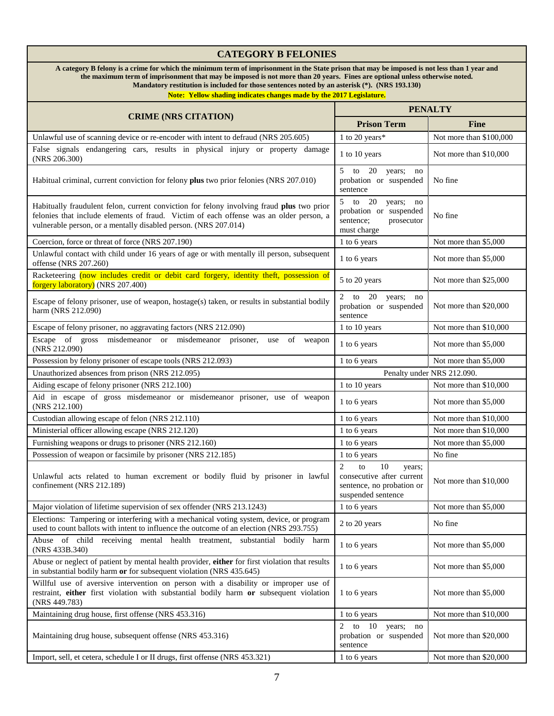#### **CATEGORY B FELONIES A category B felony is a crime for which the minimum term of imprisonment in the State prison that may be imposed is not less than 1 year and the maximum term of imprisonment that may be imposed is not more than 20 years. Fines are optional unless otherwise noted. Mandatory restitution is included for those sentences noted by an asterisk (\*). (NRS 193.130) Note: Yellow shading indicates changes made by the 2017 Legislature. CRIME (NRS CITATION) PENALTY Prison Term Fine** Unlawful use of scanning device or re-encoder with intent to defraud (NRS 205.605) 1 to 20 years\* Not more than \$100,000 False signals endangering cars, results in physical injury or property damage 1 to 10 years Not more than \$10,000 Not more than \$10,000 Habitual criminal, current conviction for felony **plus** two prior felonies (NRS 207.010) to 20 years; no probation or suspended sentence No fine Habitually fraudulent felon, current conviction for felony involving fraud **plus** two prior felonies that include elements of fraud. Victim of each offense was an older person, a vulnerable person, or a mentally disabled person. (NRS 207.014) 5 to 20 years; no probation or suspended sentence; prosecutor must charge No fine Coercion, force or threat of force (NRS 207.190) 1 to 6 years Not more than \$5,000 Unlawful contact with child under 16 years of age or with mentally ill person, subsequent 1 to 6 years Not more than \$5,000 Not more than \$5,000 Racketeering (now includes credit or debit card forgery, identity theft, possession of **Forgery laboratory**) (NRS 207.400) **Subset of the U.S. 20 years** Not more than \$25,000 **forgery laboratory**) (NRS 207.400) Escape of felony prisoner, use of weapon, hostage(s) taken, or results in substantial bodily harm (NRS 212.090) 2 to 20 years; no probation or suspended sentence Not more than \$20,000 Escape of felony prisoner, no aggravating factors (NRS 212.090) 1 to 10 years Not more than \$10,000 Escape of gross misdemeanor or misdemeanor prisoner, use of weapon  $(NRS 212.090)$  Insurface of misuchical prisoner, use of weapon  $1 to 6 \text{ years}$  Not more than \$5,000 Possession by felony prisoner of escape tools (NRS 212.093) 1 to 6 years Not more than \$5,000 Unauthorized absences from prison (NRS 212.095) Penalty under NRS 212.090. Aiding escape of felony prisoner (NRS 212.100) 1 to 10 years Not more than \$10,000 Aid in escape of gross misdemeanor or misdemeanor prisoner, use of weapon 1 to 6 years Not more than \$5,000 Not more than \$5,000 Custodian allowing escape of felon (NRS 212.110) 1 to 6 years Not more than \$10,000 Ministerial officer allowing escape (NRS 212.120) 1 to 6 years Not more than \$10,000 Furnishing weapons or drugs to prisoner (NRS 212.160) 1 to 6 years Not more than \$5,000 Possession of weapon or facsimile by prisoner (NRS 212.185) 1 to 6 years No fine Unlawful acts related to human excrement or bodily fluid by prisoner in lawful confinement (NRS 212.189) 2 to 10 years; consecutive after current sentence, no probation or suspended sentence Not more than \$10,000 Major violation of lifetime supervision of sex offender (NRS 213.1243) 1 to 6 years Not more than \$5,000 Elections: Tampering or interfering with a mechanical voting system, device, or program Elections: Tampering or interfering with a mechanical voung system, device, or program 2 to 20 years No fine used to count ballots with intent to influence the outcome of an election (NRS 293.755) Abuse of child receiving mental health treatment, substantial bodily harm  $(NRS 433B.340)$  Not more than \$5,000 (NRS 433B.340) Abuse or neglect of patient by mental health provider, **either** for first violation that results Abuse or neglect or patient by mental nealth provider, **either** for first violation (nat results 1 to 6 years Not more than \$5,000 in substantial bodily harm or for subsequent violation (NRS 435.645) Willful use of aversive intervention on person with a disability or improper use of restraint, **either** first violation with substantial bodily harm **or** subsequent violation (NRS 449.783) 1 to 6 years Not more than \$5,000 Maintaining drug house, first offense (NRS 453.316) 1 to 6 years Not more than \$10,000 Maintaining drug house, subsequent offense (NRS 453.316) 2 to 10 years; no probation or suspended sentence Not more than \$20,000 Import, sell, et cetera, schedule I or II drugs, first offense (NRS 453.321) 1 to 6 years Not more than \$20,000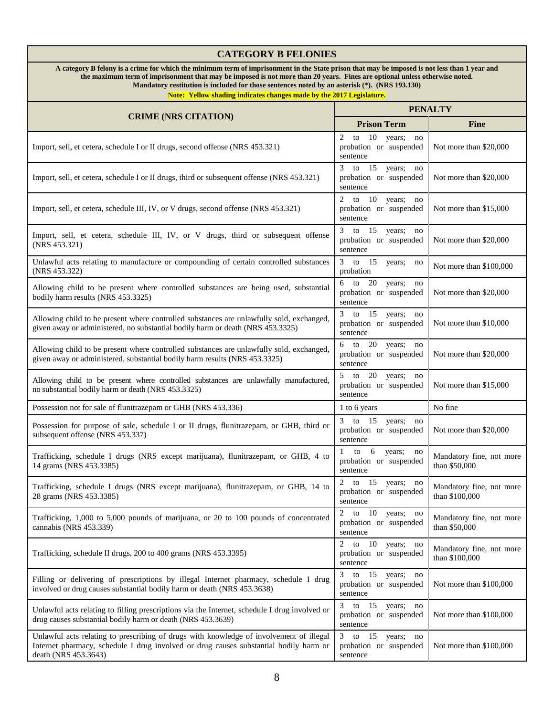# **CATEGORY B FELONIES**

**A category B felony is a crime for which the minimum term of imprisonment in the State prison that may be imposed is not less than 1 year and the maximum term of imprisonment that may be imposed is not more than 20 years. Fines are optional unless otherwise noted. Mandatory restitution is included for those sentences noted by an asterisk (\*). (NRS 193.130)**

| <b>CRIME (NRS CITATION)</b>                                                                                                                                                                              | <b>PENALTY</b>                                                                |                                            |
|----------------------------------------------------------------------------------------------------------------------------------------------------------------------------------------------------------|-------------------------------------------------------------------------------|--------------------------------------------|
|                                                                                                                                                                                                          | <b>Prison Term</b>                                                            | <b>Fine</b>                                |
| Import, sell, et cetera, schedule I or II drugs, second offense (NRS 453.321)                                                                                                                            | 2 to $10$ years;<br>no<br>probation or suspended<br>sentence                  | Not more than \$20,000                     |
| Import, sell, et cetera, schedule I or II drugs, third or subsequent offense (NRS 453.321)                                                                                                               | 3 to $15$ years;<br>no<br>probation or suspended<br>sentence                  | Not more than \$20,000                     |
| Import, sell, et cetera, schedule III, IV, or V drugs, second offense (NRS 453.321)                                                                                                                      | 2 to 10 years; no<br>probation or suspended<br>sentence                       | Not more than \$15,000                     |
| Import, sell, et cetera, schedule III, IV, or V drugs, third or subsequent offense<br>(NRS 453.321)                                                                                                      | 3 to 15 years; no<br>probation or suspended<br>sentence                       | Not more than \$20,000                     |
| Unlawful acts relating to manufacture or compounding of certain controlled substances<br>(NRS 453.322)                                                                                                   | 3 to 15<br>years;<br>no<br>probation                                          | Not more than \$100,000                    |
| Allowing child to be present where controlled substances are being used, substantial<br>bodily harm results (NRS 453.3325)                                                                               | $6$ to $20$ years;<br>no<br>probation or suspended<br>sentence                | Not more than \$20,000                     |
| Allowing child to be present where controlled substances are unlawfully sold, exchanged,<br>given away or administered, no substantial bodily harm or death (NRS 453.3325)                               | 3 to 15<br>years; no<br>probation or suspended<br>sentence                    | Not more than \$10,000                     |
| Allowing child to be present where controlled substances are unlawfully sold, exchanged,<br>given away or administered, substantial bodily harm results (NRS 453.3325)                                   | 6 to 20 years; no<br>probation or suspended<br>sentence                       | Not more than \$20,000                     |
| Allowing child to be present where controlled substances are unlawfully manufactured,<br>no substantial bodily harm or death (NRS 453.3325)                                                              | $5$ to $20$ years;<br>$\overline{p}$<br>probation or suspended<br>sentence    | Not more than \$15,000                     |
| Possession not for sale of flunitrazepam or GHB (NRS 453.336)                                                                                                                                            | 1 to 6 years                                                                  | No fine                                    |
| Possession for purpose of sale, schedule I or II drugs, flunitrazepam, or GHB, third or<br>subsequent offense (NRS 453.337)                                                                              | to $15$<br>3 <sup>7</sup><br>years; no<br>probation or suspended<br>sentence  | Not more than \$20,000                     |
| Trafficking, schedule I drugs (NRS except marijuana), flunitrazepam, or GHB, 4 to<br>14 grams (NRS 453.3385)                                                                                             | 6<br>$\mathbf{1}$<br>to<br>years;<br>no<br>probation or suspended<br>sentence | Mandatory fine, not more<br>than \$50,000  |
| Trafficking, schedule I drugs (NRS except marijuana), flunitrazepam, or GHB, 14 to<br>28 grams (NRS 453.3385)                                                                                            | 2 to 15<br>years;<br>no<br>probation or suspended<br>sentence                 | Mandatory fine, not more<br>than \$100,000 |
| Trafficking, 1,000 to 5,000 pounds of marijuana, or 20 to 100 pounds of concentrated<br>cannabis (NRS 453.339)                                                                                           | 2 to 10 years; no<br>probation or suspended<br>sentence                       | Mandatory fine, not more<br>than \$50,000  |
| Trafficking, schedule II drugs, 200 to 400 grams (NRS 453.3395)                                                                                                                                          | 2 to 10 years; no<br>probation or suspended<br>sentence                       | Mandatory fine, not more<br>than \$100,000 |
| Filling or delivering of prescriptions by illegal Internet pharmacy, schedule I drug<br>involved or drug causes substantial bodily harm or death (NRS 453.3638)                                          | $3$ to 15<br>years; no<br>probation or suspended<br>sentence                  | Not more than \$100,000                    |
| Unlawful acts relating to filling prescriptions via the Internet, schedule I drug involved or<br>drug causes substantial bodily harm or death (NRS 453.3639)                                             | 3 to 15 years; no<br>probation or suspended<br>sentence                       | Not more than \$100,000                    |
| Unlawful acts relating to prescribing of drugs with knowledge of involvement of illegal<br>Internet pharmacy, schedule I drug involved or drug causes substantial bodily harm or<br>death (NRS 453.3643) | 3 to 15 years; no<br>probation or suspended<br>sentence                       | Not more than \$100,000                    |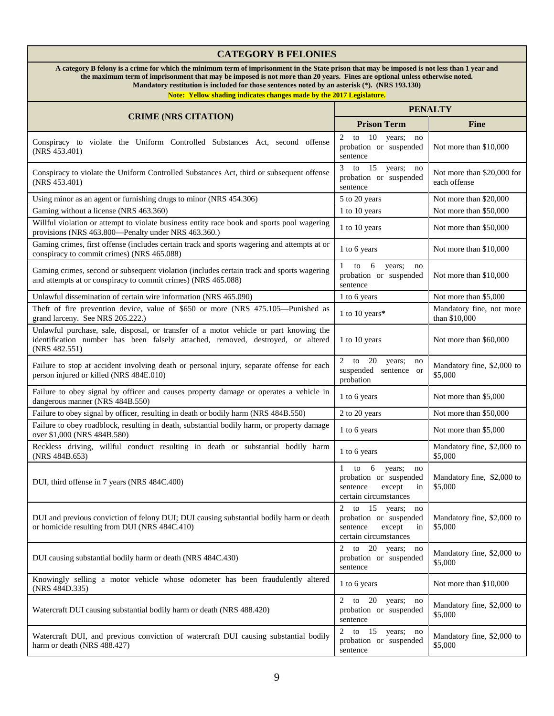# **CATEGORY B FELONIES**

**A category B felony is a crime for which the minimum term of imprisonment in the State prison that may be imposed is not less than 1 year and the maximum term of imprisonment that may be imposed is not more than 20 years. Fines are optional unless otherwise noted. Mandatory restitution is included for those sentences noted by an asterisk (\*). (NRS 193.130)**

| <b>CRIME (NRS CITATION)</b>                                                                                                                                                               | <b>PENALTY</b>                                                                                              |                                            |
|-------------------------------------------------------------------------------------------------------------------------------------------------------------------------------------------|-------------------------------------------------------------------------------------------------------------|--------------------------------------------|
|                                                                                                                                                                                           | <b>Prison Term</b>                                                                                          | <b>Fine</b>                                |
| Conspiracy to violate the Uniform Controlled Substances Act, second offense<br>(NRS 453.401)                                                                                              | 2<br>to<br>10<br>years;<br>no<br>probation or suspended<br>sentence                                         | Not more than \$10,000                     |
| Conspiracy to violate the Uniform Controlled Substances Act, third or subsequent offense<br>(NRS 453.401)                                                                                 | 3 to $15$ years;<br>no<br>probation or suspended<br>sentence                                                | Not more than \$20,000 for<br>each offense |
| Using minor as an agent or furnishing drugs to minor (NRS 454.306)                                                                                                                        | 5 to 20 years                                                                                               | Not more than \$20,000                     |
| Gaming without a license (NRS 463.360)                                                                                                                                                    | 1 to 10 years                                                                                               | Not more than \$50,000                     |
| Willful violation or attempt to violate business entity race book and sports pool wagering<br>provisions (NRS 463.800—Penalty under NRS 463.360.)                                         | 1 to 10 years                                                                                               | Not more than \$50,000                     |
| Gaming crimes, first offense (includes certain track and sports wagering and attempts at or<br>conspiracy to commit crimes) (NRS 465.088)                                                 | 1 to 6 years                                                                                                | Not more than \$10,000                     |
| Gaming crimes, second or subsequent violation (includes certain track and sports wagering<br>and attempts at or conspiracy to commit crimes) (NRS 465.088)                                | 6<br>1 to<br>years;<br>no<br>probation or suspended<br>sentence                                             | Not more than \$10,000                     |
| Unlawful dissemination of certain wire information (NRS 465.090)                                                                                                                          | 1 to 6 years                                                                                                | Not more than \$5,000                      |
| Theft of fire prevention device, value of \$650 or more (NRS 475.105-Punished as<br>grand larceny. See NRS 205.222.)                                                                      | 1 to 10 years*                                                                                              | Mandatory fine, not more<br>than \$10,000  |
| Unlawful purchase, sale, disposal, or transfer of a motor vehicle or part knowing the<br>identification number has been falsely attached, removed, destroyed, or altered<br>(NRS 482.551) | 1 to 10 years                                                                                               | Not more than \$60,000                     |
| Failure to stop at accident involving death or personal injury, separate offense for each<br>person injured or killed (NRS 484E.010)                                                      | $2$ to<br>20<br>years;<br>no<br>suspended sentence or<br>probation                                          | Mandatory fine, \$2,000 to<br>\$5,000      |
| Failure to obey signal by officer and causes property damage or operates a vehicle in<br>dangerous manner (NRS 484B.550)                                                                  | 1 to 6 years                                                                                                | Not more than \$5,000                      |
| Failure to obey signal by officer, resulting in death or bodily harm (NRS 484B.550)                                                                                                       | 2 to 20 years                                                                                               | Not more than \$50,000                     |
| Failure to obey roadblock, resulting in death, substantial bodily harm, or property damage<br>over \$1,000 (NRS 484B.580)                                                                 | 1 to 6 years                                                                                                | Not more than \$5,000                      |
| Reckless driving, willful conduct resulting in death or substantial bodily harm<br>(NRS 484B.653)                                                                                         | 1 to 6 years                                                                                                | Mandatory fine, \$2,000 to<br>\$5,000      |
| DUI, third offense in 7 years (NRS 484C.400)                                                                                                                                              | 6<br>to<br>years;<br>1<br>no<br>probation or suspended<br>sentence<br>except<br>in<br>certain circumstances | Mandatory fine, \$2,000 to<br>\$5,000      |
| DUI and previous conviction of felony DUI; DUI causing substantial bodily harm or death<br>or homicide resulting from DUI (NRS 484C.410)                                                  | 2<br>to 15 years;<br>no<br>probation or suspended<br>sentence<br>except<br>in<br>certain circumstances      | Mandatory fine, \$2,000 to<br>\$5,000      |
| DUI causing substantial bodily harm or death (NRS 484C.430)                                                                                                                               | 20 years;<br>2<br>to<br>no<br>probation or suspended<br>sentence                                            | Mandatory fine, \$2,000 to<br>\$5,000      |
| Knowingly selling a motor vehicle whose odometer has been fraudulently altered<br>(NRS 484D.335)                                                                                          | 1 to 6 years                                                                                                | Not more than \$10,000                     |
| Watercraft DUI causing substantial bodily harm or death (NRS 488.420)                                                                                                                     | 2<br>20<br>to<br>years;<br>no<br>probation or suspended<br>sentence                                         | Mandatory fine, \$2,000 to<br>\$5,000      |
| Watercraft DUI, and previous conviction of watercraft DUI causing substantial bodily<br>harm or death (NRS 488.427)                                                                       | 2 to 15 years; no<br>probation or suspended<br>sentence                                                     | Mandatory fine, \$2,000 to<br>\$5,000      |